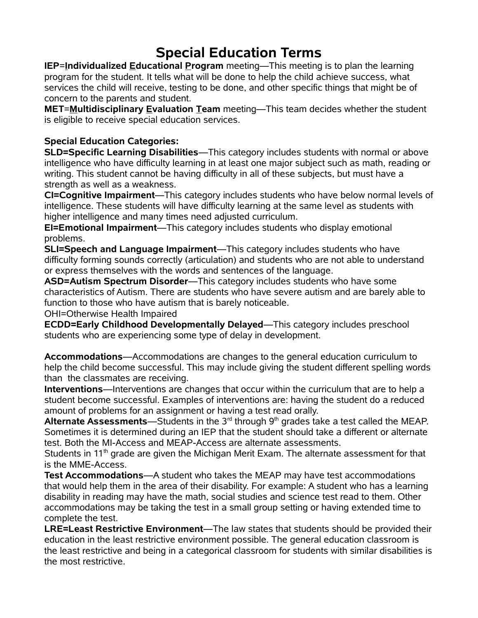## **Special Education Terms**

**IEP**=**Individualized Educational Program** meeting—This meeting is to plan the learning program for the student. It tells what will be done to help the child achieve success, what services the child will receive, testing to be done, and other specific things that might be of concern to the parents and student.

**MET**=**Multidisciplinary Evaluation Team** meeting—This team decides whether the student is eligible to receive special education services.

## **Special Education Categories:**

**SLD=Specific Learning Disabilities**—This category includes students with normal or above intelligence who have difficulty learning in at least one major subject such as math, reading or writing. This student cannot be having difficulty in all of these subjects, but must have a strength as well as a weakness.

**CI=Cognitive Impairment**—This category includes students who have below normal levels of intelligence. These students will have difficulty learning at the same level as students with higher intelligence and many times need adjusted curriculum.

**EI=Emotional Impairment**—This category includes students who display emotional problems.

**SLI=Speech and Language Impairment**—This category includes students who have difficulty forming sounds correctly (articulation) and students who are not able to understand or express themselves with the words and sentences of the language.

**ASD=Autism Spectrum Disorder**—This category includes students who have some characteristics of Autism. There are students who have severe autism and are barely able to function to those who have autism that is barely noticeable.

OHI=Otherwise Health Impaired

**ECDD=Early Childhood Developmentally Delayed**—This category includes preschool students who are experiencing some type of delay in development.

**Accommodations**—Accommodations are changes to the general education curriculum to help the child become successful. This may include giving the student different spelling words than the classmates are receiving.

**Interventions**—Interventions are changes that occur within the curriculum that are to help a student become successful. Examples of interventions are: having the student do a reduced amount of problems for an assignment or having a test read orally.

**Alternate Assessments**—Students in the 3<sup>rd</sup> through 9<sup>th</sup> grades take a test called the MEAP. Sometimes it is determined during an IEP that the student should take a different or alternate test. Both the MI-Access and MEAP-Access are alternate assessments.

Students in 11<sup>th</sup> grade are given the Michigan Merit Exam. The alternate assessment for that is the MME-Access.

**Test Accommodations**—A student who takes the MEAP may have test accommodations that would help them in the area of their disability. For example: A student who has a learning disability in reading may have the math, social studies and science test read to them. Other accommodations may be taking the test in a small group setting or having extended time to complete the test.

**LRE=Least Restrictive Environment**—The law states that students should be provided their education in the least restrictive environment possible. The general education classroom is the least restrictive and being in a categorical classroom for students with similar disabilities is the most restrictive.